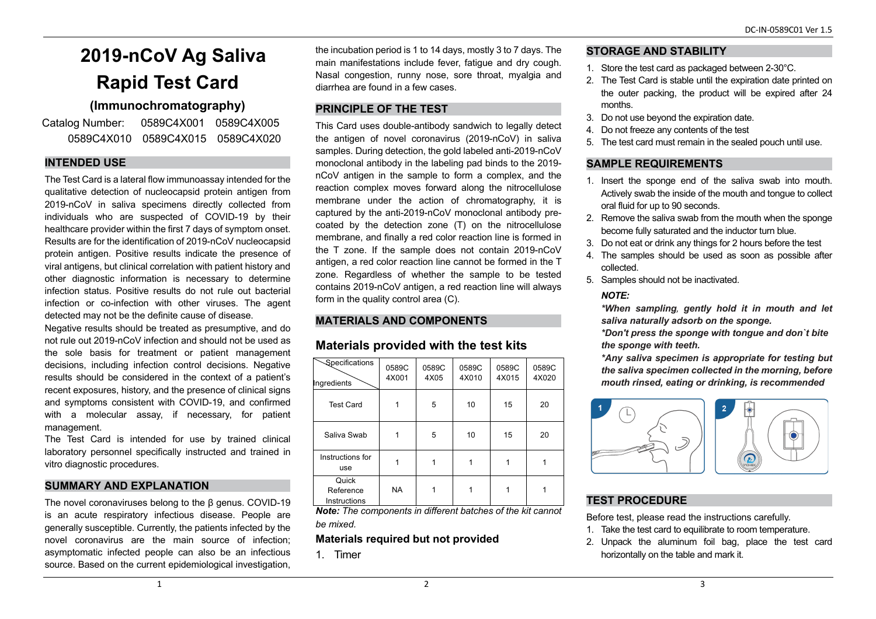# **2019-nCoV Ag Saliva Rapid Test Card**

# **(Immunochromatography)**

Catalog Number: 0589C4X001 0589C4X005 0589C4X010 0589C4X015 0589C4X020

## **INTENDED USE**

The Test Card is a lateral flow immunoassay intended for the qualitative detection of nucleocapsid protein antigen from 2019-nCoV in saliva specimens directly collected from individuals who are suspected of COVID-19 by their healthcare provider within the first 7 days of symptom onset. Results are for the identification of 2019-nCoV nucleocapsid protein antigen. Positive results indicate the presence of viral antigens, but clinical correlation with patient history and other diagnostic information is necessary to determine infection status. Positive results do not rule out bacterial infection or co-infection with other viruses. The agent detected may not be the definite cause of disease.

Negative results should be treated as presumptive, and do not rule out 2019-nCoV infection and should not be used as the sole basis for treatment or patient management decisions, including infection control decisions. Negative results should be considered in the context of a patient's recent exposures, history, and the presence of clinical signs and symptoms consistent with COVID-19, and confirmed with a molecular assay, if necessary, for patient management.

The Test Card is intended for use by trained clinical laboratory personnel specifically instructed and trained in vitro diagnostic procedures.

# **SUMMARY AND EXPLANATION**

The novel coronaviruses belong to the β genus. COVID-19 is an acute respiratory infectious disease. People are generally susceptible. Currently, the patients infected by the novel coronavirus are the main source of infection; asymptomatic infected people can also be an infectious source. Based on the current epidemiological investigation,

the incubation period is 1 to 14 days, mostly 3 to 7 days. The main manifestations include fever, fatigue and dry cough. Nasal congestion, runny nose, sore throat, myalgia and diarrhea are found in a few cases.

## **PRINCIPLE OF THE TEST**

This Card uses double-antibody sandwich to legally detect the antigen of novel coronavirus (2019-nCoV) in saliva samples. During detection, the gold labeled anti-2019-nCoV monoclonal antibody in the labeling pad binds to the 2019 nCoV antigen in the sample to form a complex, and the reaction complex moves forward along the nitrocellulose membrane under the action of chromatography, it is captured by the anti-2019-nCoV monoclonal antibody precoated by the detection zone (T) on the nitrocellulose membrane, and finally a red color reaction line is formed in the T zone. If the sample does not contain 2019-nCoV antigen, a red color reaction line cannot be formed in the T zone. Regardless of whether the sample to be tested contains 2019-nCoV antigen, a red reaction line will always form in the quality control area (C).

# **MATERIALS AND COMPONENTS**

# **Materials provided with the test kits**

| Specifications<br>Ingredients      | 0589C<br>4X001 | 0589C<br>4X05 | 0589C<br>4X010 | 0589C<br>4X015 | 0589C<br>4X020 |
|------------------------------------|----------------|---------------|----------------|----------------|----------------|
| <b>Test Card</b>                   | 1              | 5             | 10             | 15             | 20             |
| Saliva Swab                        | 1              | 5             | 10             | 15             | 20             |
| Instructions for<br>use            |                | 1             |                |                |                |
| Quick<br>Reference<br>Instructions | <b>NA</b>      | 1             |                |                |                |

*Note: The components in different batches of the kit cannot be mixed.*

## **Materials required but not provided**

1. Timer

## **STORAGE AND STABILITY**

- 1. Store the test card as packaged between 2-30°C.
- 2. The Test Card is stable until the expiration date printed on the outer packing, the product will be expired after 24 months.
- 3. Do not use beyond the expiration date.
- 4. Do not freeze any contents of the test
- 5. The test card must remain in the sealed pouch until use.

# **SAMPLE REQUIREMENTS**

- 1. Insert the sponge end of the saliva swab into mouth. Actively swab the inside of the mouth and tongue to collect oral fluid for up to 90 seconds.
- 2. Remove the saliva swab from the mouth when the sponge become fully saturated and the inductor turn blue.
- 3. Do not eat or drink any things for 2 hours before the test
- 4. The samples should be used as soon as possible after collected.
- 5. Samples should not be inactivated.

# *NOTE:*

*\*When sampling*, *gently hold it in mouth and let saliva naturally adsorb on the sponge.*

*\*Don't press the sponge with tongue and don`t bite the sponge with teeth.*

*\*Any saliva specimen is appropriate for testing but the saliva specimen collected in the morning, before mouth rinsed, eating or drinking, is recommended*



# **TEST PROCEDURE**

Before test, please read the instructions carefully.

- 1. Take the test card to equilibrate to room temperature.
- 2. Unpack the aluminum foil bag, place the test card horizontally on the table and mark it.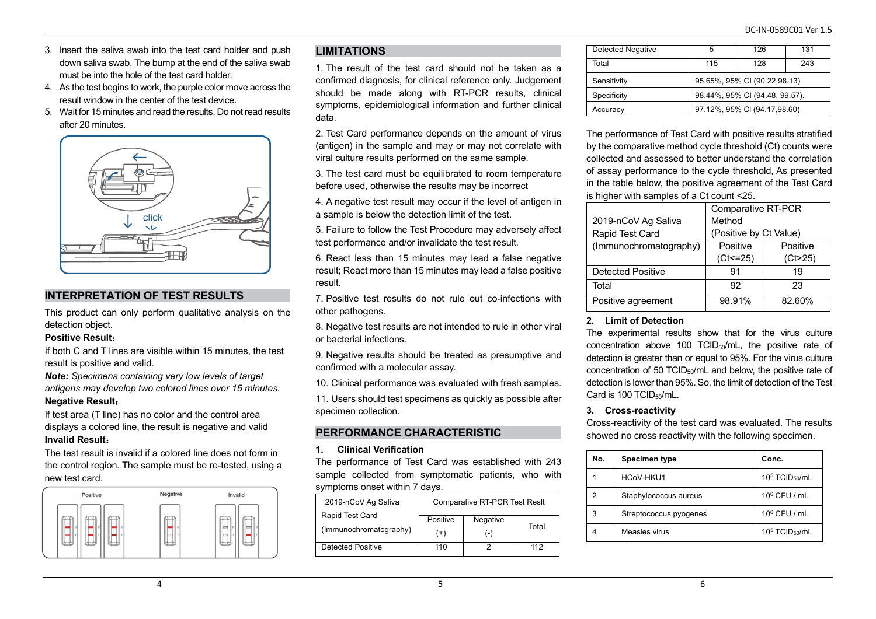- 3. Insert the saliva swab into the test card holder and push down saliva swab. The bump at the end of the saliva swab must be into the hole of the test card holder.
- 4. As the test begins to work, the purple color move across the result window in the center of the test device.
- 5. Wait for 15 minutes and read the results. Do not read results after 20 minutes.



## **INTERPRETATION OF TEST RESULTS**

This product can only perform qualitative analysis on the detection object.

#### **Positive Result**:

If both C and T lines are visible within 15 minutes, the test result is positive and valid.

*Note: Specimens containing very low levels of target antigens may develop two colored lines over 15 minutes.* **Negative Result**:

If test area (T line) has no color and the control area displays a colored line, the result is negative and valid **Invalid Result**:

The test result is invalid if a colored line does not form in the control region. The sample must be re-tested, using a new test card.



## **LIMITATIONS**

1. The result of the test card should not be taken as a confirmed diagnosis, for clinical reference only. Judgement should be made along with RT-PCR results, clinical symptoms, epidemiological information and further clinical data.

2. Test Card performance depends on the amount of virus (antigen) in the sample and may or may not correlate with viral culture results performed on the same sample.

3. The test card must be equilibrated to room temperature before used, otherwise the results may be incorrect

4. A negative test result may occur if the level of antigen in a sample is below the detection limit of the test.

5. Failure to follow the Test Procedure may adversely affect test performance and/or invalidate the test result.

6. React less than 15 minutes may lead a false negative result; React more than 15 minutes may lead a false positive result.

7. Positive test results do not rule out co-infections with other pathogens.

8. Negative test results are not intended to rule in other viral or bacterial infections.

9. Negative results should be treated as presumptive and confirmed with a molecular assay.

10. Clinical performance was evaluated with fresh samples.

11. Users should test specimens as quickly as possible after specimen collection.

# **PERFORMANCE CHARACTERISTIC**

#### **1. Clinical Verification**

The performance of Test Card was established with 243 sample collected from symptomatic patients, who with symptoms onset within 7 days.

| 2019-nCoV Ag Saliva      | <b>Comparative RT-PCR Test Resit</b> |          |       |
|--------------------------|--------------------------------------|----------|-------|
| Rapid Test Card          | Positive                             | Negative |       |
| (Immunochromatography)   | (+)                                  | ( – )    | Total |
| <b>Detected Positive</b> | 110                                  |          | 112   |

| Detected Negative | 5                              | 126 | 131 |
|-------------------|--------------------------------|-----|-----|
| Total             | 115                            | 128 | 243 |
| Sensitivity       | 95.65%, 95% CI (90.22,98.13)   |     |     |
| Specificity       | 98.44%, 95% CI (94.48, 99.57). |     |     |
| Accuracy          | 97.12%, 95% CI (94.17,98.60)   |     |     |

The performance of Test Card with positive results stratified by the comparative method cycle threshold (Ct) counts were collected and assessed to better understand the correlation of assay performance to the cycle threshold, As presented in the table below, the positive agreement of the Test Card is higher with samples of a Ct count <25.

|                          | <b>Comparative RT-PCR</b> |           |  |
|--------------------------|---------------------------|-----------|--|
| 2019-nCoV Ag Saliva      | Method                    |           |  |
| Rapid Test Card          | (Positive by Ct Value)    |           |  |
| (Immunochromatography)   | Positive                  | Positive  |  |
|                          | $(Ct < = 25)$             | (Ct > 25) |  |
| <b>Detected Positive</b> | 91                        | 19        |  |
| Total                    | 92                        | 23        |  |
| Positive agreement       | 98.91%                    | 82.60%    |  |

## **2. Limit of Detection**

The experimental results show that for the virus culture concentration above 100 TCID $_{50}$ /mL, the positive rate of detection is greater than or equal to 95%. For the virus culture concentration of 50 TCID $_{50}$ /mL and below, the positive rate of detection is lower than 95%. So, the limit of detection of the Test Card is 100 TCID<sub>50</sub>/mL.

## **3. Cross-reactivity**

Cross-reactivity of the test card was evaluated. The results showed no cross reactivity with the following specimen.

| No. | <b>Specimen type</b>   | Conc.                                  |
|-----|------------------------|----------------------------------------|
|     | HCoV-HKU1              | 10 <sup>5</sup> TCID <sub>50</sub> /mL |
| 2   | Staphylococcus aureus  | $10^6$ CFU / mL                        |
| 3   | Streptococcus pyogenes | $10^6$ CFU / mL                        |
|     | Measles virus          | $105$ TCID <sub>50</sub> /mL           |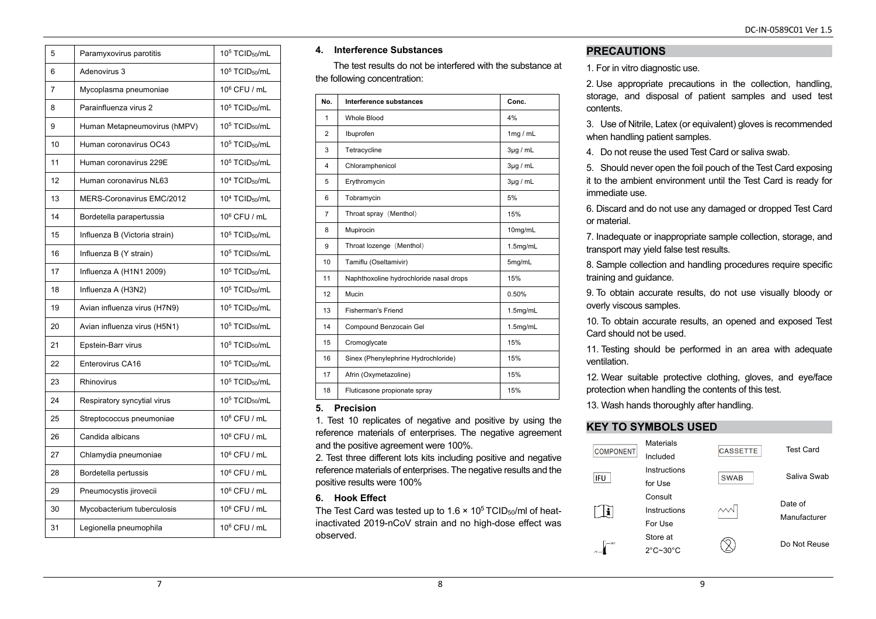| 5              | Paramyxovirus parotitis       | 10 <sup>5</sup> TCID <sub>50</sub> /mL |
|----------------|-------------------------------|----------------------------------------|
| 6              | Adenovirus 3                  | $105$ TCID <sub>50</sub> /mL           |
| $\overline{7}$ | Mycoplasma pneumoniae         | $10^6$ CFU / mL                        |
| 8              | Parainfluenza virus 2         | $105$ TCID <sub>50</sub> /mL           |
| 9              | Human Metapneumovirus (hMPV)  | $105$ TCID <sub>50</sub> /mL           |
| 10             | Human coronavirus OC43        | $105$ TCID <sub>50</sub> /mL           |
| 11             | Human coronavirus 229E        | $105$ TCID <sub>50</sub> /mL           |
| 12             | Human coronavirus NL63        | 10 <sup>4</sup> TCID <sub>50</sub> /mL |
| 13             | MERS-Coronavirus EMC/2012     | $104$ TCID <sub>50</sub> /mL           |
| 14             | Bordetella parapertussia      | 10 <sup>6</sup> CFU / mL               |
| 15             | Influenza B (Victoria strain) | 10 <sup>5</sup> TCID <sub>50</sub> /mL |
| 16             | Influenza B (Y strain)        | 10 <sup>5</sup> TCID <sub>50</sub> /mL |
| 17             | Influenza A (H1N1 2009)       | $105$ TCID <sub>50</sub> /mL           |
| 18             | Influenza A (H3N2)            | 10 <sup>5</sup> TCID <sub>50</sub> /mL |
| 19             | Avian influenza virus (H7N9)  | 10 <sup>5</sup> TCID <sub>50</sub> /mL |
| 20             | Avian influenza virus (H5N1)  | $105$ TCID <sub>50</sub> /mL           |
| 21             | Epstein-Barr virus            | 10 <sup>5</sup> TCID <sub>50</sub> /mL |
| 22             | Enterovirus CA16              | 10 <sup>5</sup> TCID <sub>50</sub> /mL |
| 23             | Rhinovirus                    | $105$ TCID <sub>50</sub> /mL           |
| 24             | Respiratory syncytial virus   | $105$ TCID <sub>50</sub> /mL           |
| 25             | Streptococcus pneumoniae      | 10 <sup>6</sup> CFU / mL               |
| 26             | Candida albicans              | 106 CFU / mL                           |
| 27             | Chlamydia pneumoniae          | 10 <sup>6</sup> CFU / mL               |
| 28             | Bordetella pertussis          | 10 <sup>6</sup> CFU / mL               |
| 29             | Pneumocystis jirovecii        | 10 <sup>6</sup> CFU / mL               |
| 30             | Mycobacterium tuberculosis    | 10 <sup>6</sup> CFU / mL               |
| 31             | Legionella pneumophila        | 10 <sup>6</sup> CFU / mL               |

#### **4. Interference Substances**

The test results do not be interfered with the substance at the following concentration:

| No.            | Interference substances                 | Conc.         |
|----------------|-----------------------------------------|---------------|
| 1              | Whole Blood                             | 4%            |
| $\overline{2}$ | Ibuprofen                               | 1mg / mL      |
| 3              | Tetracycline                            | $3\mu$ g / mL |
| 4              | Chloramphenicol                         | $3\mu$ g / mL |
| 5              | Erythromycin                            | $3\mu$ g / mL |
| 6              | Tobramycin                              | 5%            |
| $\overline{7}$ | Throat spray (Menthol)                  | 15%           |
| 8              | Mupirocin                               | 10mg/mL       |
| 9              | Throat lozenge (Menthol)                | 1.5mg/mL      |
| 10             | Tamiflu (Oseltamivir)                   | 5mg/mL        |
| 11             | Naphthoxoline hydrochloride nasal drops | 15%           |
| 12             | Mucin                                   | 0.50%         |
| 13             | Fisherman's Friend                      | 1.5mg/mL      |
| 14             | Compound Benzocain Gel                  | 1.5mg/mL      |
| 15             | Cromoglycate                            | 15%           |
| 16             | Sinex (Phenylephrine Hydrochloride)     | 15%           |
| 17             | Afrin (Oxymetazoline)                   | 15%           |
| 18             | Fluticasone propionate spray            | 15%           |

## **5. Precision**

1. Test 10 replicates of negative and positive by using the reference materials of enterprises. The negative agreement and the positive agreement were 100%.

2. Test three different lots kits including positive and negative reference materials of enterprises. The negative results and the positive results were 100%

## **6. Hook Effect**

The Test Card was tested up to  $1.6 \times 10^5$  TCID<sub>50</sub>/ml of heatinactivated 2019-nCoV strain and no high-dose effect was observed.

## **PRECAUTIONS**

1. For in vitro diagnostic use.

2. Use appropriate precautions in the collection, handling, storage, and disposal of patient samples and used test contents.

3. Use of Nitrile, Latex (or equivalent) gloves is recommended when handling patient samples.

4. Do not reuse the used Test Card or saliva swab.

5. Should never open the foil pouch of the Test Card exposing it to the ambient environment until the Test Card is ready for immediate use.

6. Discard and do not use any damaged or dropped Test Card or material.

7. Inadequate or inappropriate sample collection, storage, and transport may yield false test results.

8. Sample collection and handling procedures require specific training and guidance.

9. To obtain accurate results, do not use visually bloody or overly viscous samples.

10. To obtain accurate results, an opened and exposed Test Card should not be used.

11. Testing should be performed in an area with adequate ventilation.

12. Wear suitable protective clothing, gloves, and eye/face protection when handling the contents of this test.

13. Wash hands thoroughly after handling.

## **KEY TO SYMBOLS USED**

| <b>COMPONENT</b> | <b>Materials</b><br>Included              | <b>CASSETTE</b> | <b>Test Card</b>        |
|------------------|-------------------------------------------|-----------------|-------------------------|
| <b>IFU</b>       | Instructions<br>for Use                   | <b>SWAB</b>     | Saliya Swab             |
|                  | Consult<br>Instructions<br>For Use        |                 | Date of<br>Manufacturer |
| com              | Store at<br>$2^{\circ}$ C~30 $^{\circ}$ C |                 | Do Not Reuse            |